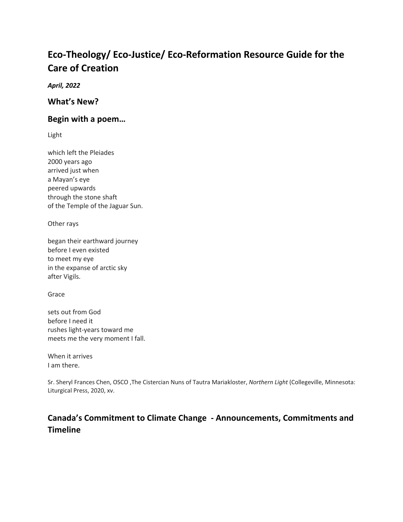# **Eco-Theology/ Eco-Justice/ Eco-Reformation Resource Guide for the Care of Creation**

*April, 2022*

**What's New?**

### **Begin with a poem…**

Light

which left the Pleiades 2000 years ago arrived just when a Mayan's eye peered upwards through the stone shaft of the Temple of the Jaguar Sun.

Other rays

began their earthward journey before I even existed to meet my eye in the expanse of arctic sky after Vigils.

Grace

sets out from God before I need it rushes light-years toward me meets me the very moment I fall.

When it arrives I am there.

Sr. Sheryl Frances Chen, OSCO ,The Cistercian Nuns of Tautra Mariakloster, *Northern Light* (Collegeville, Minnesota: Liturgical Press, 2020, xv.

# **Canada's Commitment to Climate Change - Announcements, Commitments and Timeline**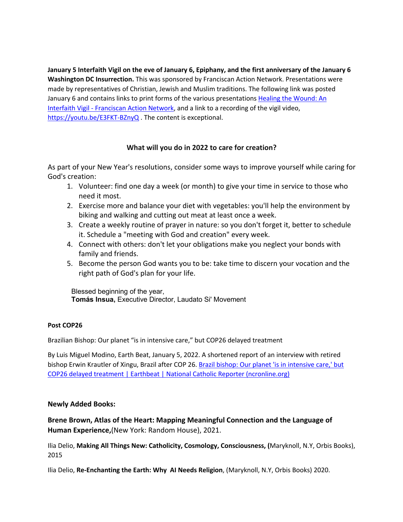**January 5 Interfaith Vigil on the eve of January 6, Epiphany, and the first anniversary of the January 6 Washington DC Insurrection.** This was sponsored by Franciscan Action Network. Presentations were made by representatives of Christian, Jewish and Muslim traditions. The following link was posted January 6 and contains links to print forms of the various presentations Healing the Wound: An Interfaith Vigil - Franciscan Action Network, and a link to a recording of the vigil video, https://youtu.be/E3FKT-BZnyQ . The content is exceptional.

#### **What will you do in 2022 to care for creation?**

As part of your New Year's resolutions, consider some ways to improve yourself while caring for God's creation:

- 1. Volunteer: find one day a week (or month) to give your time in service to those who need it most.
- 2. Exercise more and balance your diet with vegetables: you'll help the environment by biking and walking and cutting out meat at least once a week.
- 3. Create a weekly routine of prayer in nature: so you don't forget it, better to schedule it. Schedule a "meeting with God and creation" every week.
- 4. Connect with others: don't let your obligations make you neglect your bonds with family and friends.
- 5. Become the person God wants you to be: take time to discern your vocation and the right path of God's plan for your life.

Blessed beginning of the year, **Tomás Insua,** Executive Director, Laudato Si' Movement

#### **Post COP26**

Brazilian Bishop: Our planet "is in intensive care," but COP26 delayed treatment

By Luis Miguel Modino, Earth Beat, January 5, 2022. A shortened report of an interview with retired bishop Erwin Krautler of Xingu, Brazil after COP 26. Brazil bishop: Our planet 'is in intensive care,' but COP26 delayed treatment | Earthbeat | National Catholic Reporter (ncronline.org)

#### **Newly Added Books:**

**Brene Brown, Atlas of the Heart: Mapping Meaningful Connection and the Language of Human Experience,**(New York: Random House), 2021.

Ilia Delio, **Making All Things New: Catholicity, Cosmology, Consciousness, (**Maryknoll, N.Y, Orbis Books), 2015

Ilia Delio, **Re-Enchanting the Earth: Why AI Needs Religion**, (Maryknoll, N.Y, Orbis Books) 2020.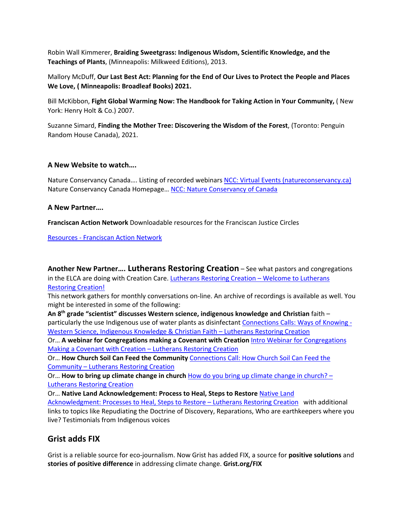Robin Wall Kimmerer, **Braiding Sweetgrass: Indigenous Wisdom, Scientific Knowledge, and the Teachings of Plants**, (Minneapolis: Milkweed Editions), 2013.

Mallory McDuff, **Our Last Best Act: Planning for the End of Our Lives to Protect the People and Places We Love, ( Minneapolis: Broadleaf Books) 2021.**

Bill McKibbon, **Fight Global Warming Now: The Handbook for Taking Action in Your Community,** ( New York: Henry Holt & Co.) 2007.

Suzanne Simard, **Finding the Mother Tree: Discovering the Wisdom of the Forest**, (Toronto: Penguin Random House Canada), 2021.

#### **A New Website to watch….**

Nature Conservancy Canada.... Listing of recorded webinars NCC: Virtual Events (natureconservancy.ca) Nature Conservancy Canada Homepage… NCC: Nature Conservancy of Canada

#### **A New Partner….**

**Franciscan Action Network** Downloadable resources for the Franciscan Justice Circles

Resources - Franciscan Action Network

**Another New Partner…. Lutherans Restoring Creation** – See what pastors and congregations in the ELCA are doing with Creation Care. Lutherans Restoring Creation - Welcome to Lutherans Restoring Creation!

This network gathers for monthly conversations on-line. An archive of recordings is available as well. You might be interested in some of the following:

**An 8th grade "scientist" discusses Western science, indigenous knowledge and Christian** faith – particularly the use Indigenous use of water plants as disinfectant Connections Calls: Ways of Knowing - Western Science, Indigenous Knowledge & Christian Faith – Lutherans Restoring Creation

Or… **A webinar for Congregations making a Covenant with Creation** Intro Webinar for Congregations Making a Covenant with Creation – Lutherans Restoring Creation

Or… **How Church Soil Can Feed the Community** Connections Call: How Church Soil Can Feed the Community – Lutherans Restoring Creation

Or… **How to bring up climate change in church** How do you bring up climate change in church? – Lutherans Restoring Creation

Or... Native Land Acknowledgement: Process to Heal, Steps to Restore **Native Land** 

Acknowledgment: Processes to Heal, Steps to Restore – Lutherans Restoring Creation with additional links to topics like Repudiating the Doctrine of Discovery, Reparations, Who are earthkeepers where you live? Testimonials from Indigenous voices

## **Grist adds FIX**

Grist is a reliable source for eco-journalism. Now Grist has added FIX, a source for **positive solutions** and **stories of positive difference** in addressing climate change. **Grist.org/FIX**